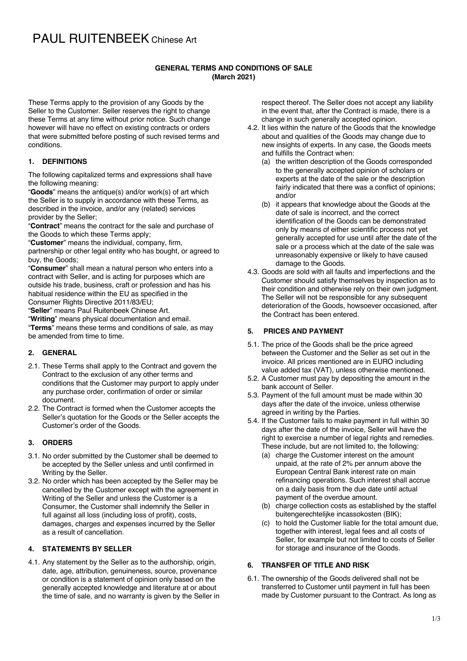## PAUL RUITENBEEK Chinese Art

#### **GENERAL TERMS AND CONDITIONS OF SALE (March 2021)**

These Terms apply to the provision of any Goods by the Seller to the Customer. Seller reserves the right to change these Terms at any time without prior notice. Such change however will have no effect on existing contracts or orders that were submitted before posting of such revised terms and conditions.

#### **1. DEFINITIONS**

The following capitalized terms and expressions shall have the following meaning:

"**Goods**" means the antique(s) and/or work(s) of art which the Seller is to supply in accordance with these Terms, as described in the invoice, and/or any (related) services provider by the Seller;

"**Contract**" means the contract for the sale and purchase of the Goods to which these Terms apply;

"**Customer**" means the individual, company, firm, partnership or other legal entity who has bought, or agreed to buy, the Goods;

"**Consumer**" shall mean a natural person who enters into a contract with Seller, and is acting for purposes which are outside his trade, business, craft or profession and has his habitual residence within the EU as specified in the Consumer Rights Directive 2011/83/EU;

"**Seller**" means Paul Ruitenbeek Chinese Art.

"**Writing**" means physical documentation and email.

"**Terms**" means these terms and conditions of sale, as may be amended from time to time.

## **2. GENERAL**

- 2.1. These Terms shall apply to the Contract and govern the Contract to the exclusion of any other terms and conditions that the Customer may purport to apply under any purchase order, confirmation of order or similar document.
- 2.2. The Contract is formed when the Customer accepts the Seller's quotation for the Goods or the Seller accepts the Customer's order of the Goods.

#### **3. ORDERS**

- 3.1. No order submitted by the Customer shall be deemed to be accepted by the Seller unless and until confirmed in Writing by the Seller.
- 3.2. No order which has been accepted by the Seller may be cancelled by the Customer except with the agreement in Writing of the Seller and unless the Customer is a Consumer, the Customer shall indemnify the Seller in full against all loss (including loss of profit), costs, damages, charges and expenses incurred by the Seller as a result of cancellation.

## **4. STATEMENTS BY SELLER**

4.1. Any statement by the Seller as to the authorship, origin, date, age, attribution, genuineness, source, provenance or condition is a statement of opinion only based on the generally accepted knowledge and literature at or about the time of sale, and no warranty is given by the Seller in respect thereof. The Seller does not accept any liability in the event that, after the Contract is made, there is a change in such generally accepted opinion.

- 4.2. It lies within the nature of the Goods that the knowledge about and qualities of the Goods may change due to new insights of experts. In any case, the Goods meets and fulfills the Contract when:
	- (a) the written description of the Goods corresponded to the generally accepted opinion of scholars or experts at the date of the sale or the description fairly indicated that there was a conflict of opinions: and/or
	- (b) it appears that knowledge about the Goods at the date of sale is incorrect, and the correct identification of the Goods can be demonstrated only by means of either scientific process not yet generally accepted for use until after the date of the sale or a process which at the date of the sale was unreasonably expensive or likely to have caused damage to the Goods.
- 4.3. Goods are sold with all faults and imperfections and the Customer should satisfy themselves by inspection as to their condition and otherwise rely on their own judgment. The Seller will not be responsible for any subsequent deterioration of the Goods, howsoever occasioned, after the Contract has been entered.

#### **5. PRICES AND PAYMENT**

- 5.1. The price of the Goods shall be the price agreed between the Customer and the Seller as set out in the invoice. All prices mentioned are in EURO including value added tax (VAT), unless otherwise mentioned.
- 5.2. A Customer must pay by depositing the amount in the bank account of Seller.
- 5.3. Payment of the full amount must be made within 30 days after the date of the invoice, unless otherwise agreed in writing by the Parties.
- 5.4. If the Customer fails to make payment in full within 30 days after the date of the invoice, Seller will have the right to exercise a number of legal rights and remedies. These include, but are not limited to, the following:
	- (a) charge the Customer interest on the amount unpaid, at the rate of 2% per annum above the European Central Bank interest rate on main refinancing operations. Such interest shall accrue on a daily basis from the due date until actual payment of the overdue amount.
	- (b) charge collection costs as established by the staffel buitengerechtelijke incassokosten (BIK);
	- (c) to hold the Customer liable for the total amount due, together with interest, legal fees and all costs of Seller, for example but not limited to costs of Seller for storage and insurance of the Goods.

#### **6. TRANSFER OF TITLE AND RISK**

6.1. The ownership of the Goods delivered shall not be transferred to Customer until payment in full has been made by Customer pursuant to the Contract. As long as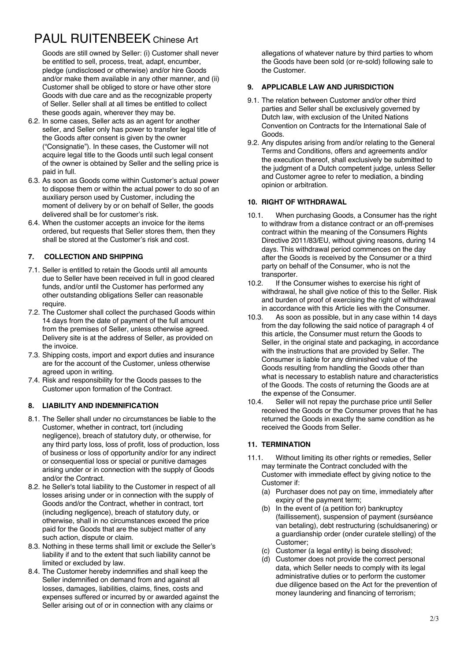# PAUL RUITENBEEK Chinese Art

Goods are still owned by Seller: (i) Customer shall never be entitled to sell, process, treat, adapt, encumber, pledge (undisclosed or otherwise) and/or hire Goods and/or make them available in any other manner, and (ii) Customer shall be obliged to store or have other store Goods with due care and as the recognizable property of Seller. Seller shall at all times be entitled to collect these goods again, wherever they may be.

- 6.2. In some cases, Seller acts as an agent for another seller, and Seller only has power to transfer legal title of the Goods after consent is given by the owner ("Consignatie"). In these cases, the Customer will not acquire legal title to the Goods until such legal consent of the owner is obtained by Seller and the selling price is paid in full.
- 6.3. As soon as Goods come within Customer's actual power to dispose them or within the actual power to do so of an auxiliary person used by Customer, including the moment of delivery by or on behalf of Seller, the goods delivered shall be for customer's risk.
- 6.4. When the customer accepts an invoice for the items ordered, but requests that Seller stores them, then they shall be stored at the Customer's risk and cost.

## **7. COLLECTION AND SHIPPING**

- 7.1. Seller is entitled to retain the Goods until all amounts due to Seller have been received in full in good cleared funds, and/or until the Customer has performed any other outstanding obligations Seller can reasonable require.
- 7.2. The Customer shall collect the purchased Goods within 14 days from the date of payment of the full amount from the premises of Seller, unless otherwise agreed. Delivery site is at the address of Seller, as provided on the invoice.
- 7.3. Shipping costs, import and export duties and insurance are for the account of the Customer, unless otherwise agreed upon in writing.
- 7.4. Risk and responsibility for the Goods passes to the Customer upon formation of the Contract.

## **8. LIABILITY AND INDEMNIFICATION**

- 8.1. The Seller shall under no circumstances be liable to the Customer, whether in contract, tort (including negligence), breach of statutory duty, or otherwise, for any third party loss, loss of profit, loss of production, loss of business or loss of opportunity and/or for any indirect or consequential loss or special or punitive damages arising under or in connection with the supply of Goods and/or the Contract.
- 8.2. he Seller's total liability to the Customer in respect of all losses arising under or in connection with the supply of Goods and/or the Contract, whether in contract, tort (including negligence), breach of statutory duty, or otherwise, shall in no circumstances exceed the price paid for the Goods that are the subject matter of any such action, dispute or claim.
- 8.3. Nothing in these terms shall limit or exclude the Seller's liability if and to the extent that such liability cannot be limited or excluded by law.
- 8.4. The Customer hereby indemnifies and shall keep the Seller indemnified on demand from and against all losses, damages, liabilities, claims, fines, costs and expenses suffered or incurred by or awarded against the Seller arising out of or in connection with any claims or

allegations of whatever nature by third parties to whom the Goods have been sold (or re-sold) following sale to the Customer.

#### **9. APPLICABLE LAW AND JURISDICTION**

- 9.1. The relation between Customer and/or other third parties and Seller shall be exclusively governed by Dutch law, with exclusion of the United Nations Convention on Contracts for the International Sale of Goods.
- 9.2. Any disputes arising from and/or relating to the General Terms and Conditions, offers and agreements and/or the execution thereof, shall exclusively be submitted to the judgment of a Dutch competent judge, unless Seller and Customer agree to refer to mediation, a binding opinion or arbitration.

#### **10. RIGHT OF WITHDRAWAL**

- 10.1. When purchasing Goods, a Consumer has the right to withdraw from a distance contract or an off-premises contract within the meaning of the Consumers Rights Directive 2011/83/EU, without giving reasons, during 14 days. This withdrawal period commences on the day after the Goods is received by the Consumer or a third party on behalf of the Consumer, who is not the transporter.<br>10.2 If the C
- If the Consumer wishes to exercise his right of withdrawal, he shall give notice of this to the Seller. Risk and burden of proof of exercising the right of withdrawal in accordance with this Article lies with the Consumer.
- 10.3. As soon as possible, but in any case within 14 days from the day following the said notice of paragraph 4 of this article, the Consumer must return the Goods to Seller, in the original state and packaging, in accordance with the instructions that are provided by Seller. The Consumer is liable for any diminished value of the Goods resulting from handling the Goods other than what is necessary to establish nature and characteristics of the Goods. The costs of returning the Goods are at the expense of the Consumer.<br>10.4 Seller will not renay the pu
- Seller will not repay the purchase price until Seller received the Goods or the Consumer proves that he has returned the Goods in exactly the same condition as he received the Goods from Seller.

## **11. TERMINATION**

- 11.1. Without limiting its other rights or remedies, Seller may terminate the Contract concluded with the Customer with immediate effect by giving notice to the Customer if:
	- (a) Purchaser does not pay on time, immediately after expiry of the payment term;
	- (b) In the event of (a petition for) bankruptcy (faillissement), suspension of payment (surséance van betaling), debt restructuring (schuldsanering) or a guardianship order (onder curatele stelling) of the Customer;
	- (c) Customer (a legal entity) is being dissolved;
	- (d) Customer does not provide the correct personal data, which Seller needs to comply with its legal administrative duties or to perform the customer due diligence based on the Act for the prevention of money laundering and financing of terrorism;